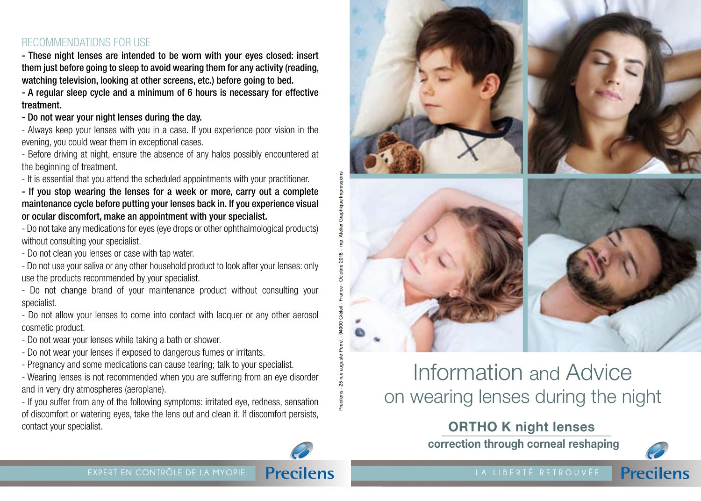## RECOMMENDATIONS FOR USE

- These night lenses are intended to be worn with your eyes closed: insert them just before going to sleep to avoid wearing them for any activity (reading, watching television, looking at other screens, etc.) before going to bed.

- A regular sleep cycle and a minimum of 6 hours is necessary for effective treatment.

#### - Do not wear your night lenses during the day.

- Always keep your lenses with you in a case. If you experience poor vision in the evening, you could wear them in exceptional cases.

- Before driving at night, ensure the absence of any halos possibly encountered at the beginning of treatment.

- It is essential that you attend the scheduled appointments with your practitioner.

- If you stop wearing the lenses for a week or more, carry out a complete maintenance cycle before putting your lenses back in. If you experience visual or ocular discomfort, make an appointment with your specialist.

votre Spécialiste<br>Ste - Do not take any medications for eyes (eye drops or other ophthalmological products) without consulting your specialist.

- Do not clean you lenses or case with tap water.

- Do not use your saliva or any other household product to look after your lenses: only use the products recommended by your specialist.

- Do not change brand of your maintenance product without consulting your specialist.

- Do not allow your lenses to come into contact with lacquer or any other aerosol cosmetic product.

- Do not wear your lenses while taking a bath or shower.

- Do not wear your lenses if exposed to dangerous fumes or irritants.

- Pregnancy and some medications can cause tearing; talk to your specialist.

- Wearing lenses is not recommended when you are suffering from an eye disorder and in very dry atmospheres (aeroplane).

- If you suffer from any of the following symptoms: irritated eye, redness, sensation of discomfort or watering eyes, take the lens out and clean it. If discomfort persists, contact your specialist.



# Information and Advice on wearing lenses during the night

## **ORTHO K night lenses**

**correction through corneal reshaping**



**Precilens**